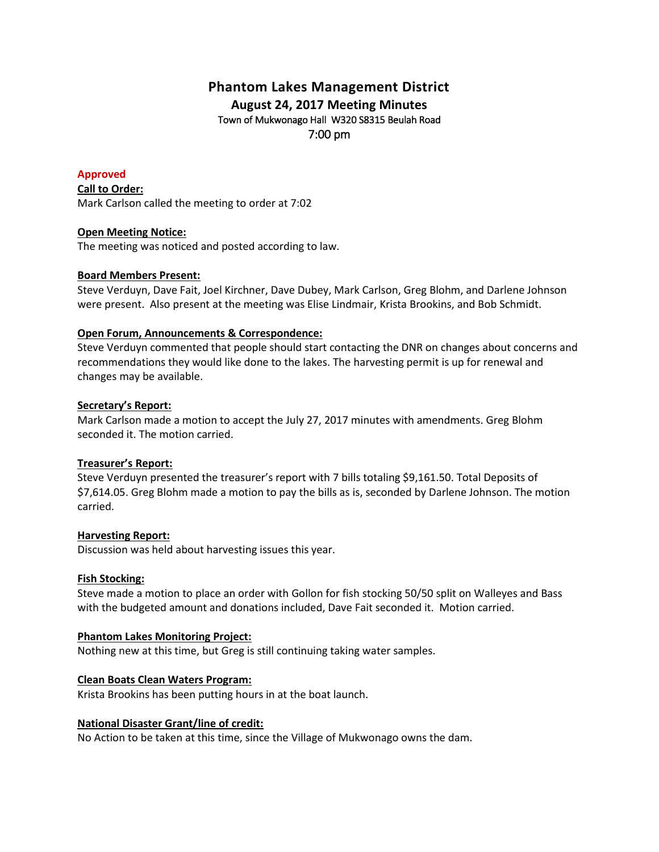# **Phantom Lakes Management District August 24, 2017 Meeting Minutes** Town of Mukwonago Hall W320 S8315 Beulah Road 7:00 pm

# **Approved**

**Call to Order:** Mark Carlson called the meeting to order at 7:02

## **Open Meeting Notice:**

The meeting was noticed and posted according to law.

# **Board Members Present:**

Steve Verduyn, Dave Fait, Joel Kirchner, Dave Dubey, Mark Carlson, Greg Blohm, and Darlene Johnson were present. Also present at the meeting was Elise Lindmair, Krista Brookins, and Bob Schmidt.

## **Open Forum, Announcements & Correspondence:**

Steve Verduyn commented that people should start contacting the DNR on changes about concerns and recommendations they would like done to the lakes. The harvesting permit is up for renewal and changes may be available.

## **Secretary's Report:**

Mark Carlson made a motion to accept the July 27, 2017 minutes with amendments. Greg Blohm seconded it. The motion carried.

# **Treasurer's Report:**

Steve Verduyn presented the treasurer's report with 7 bills totaling \$9,161.50. Total Deposits of \$7,614.05. Greg Blohm made a motion to pay the bills as is, seconded by Darlene Johnson. The motion carried.

# **Harvesting Report:**

Discussion was held about harvesting issues this year.

#### **Fish Stocking:**

Steve made a motion to place an order with Gollon for fish stocking 50/50 split on Walleyes and Bass with the budgeted amount and donations included, Dave Fait seconded it. Motion carried.

#### **Phantom Lakes Monitoring Project:**

Nothing new at this time, but Greg is still continuing taking water samples.

#### **Clean Boats Clean Waters Program:**

Krista Brookins has been putting hours in at the boat launch.

# **National Disaster Grant/line of credit:**

No Action to be taken at this time, since the Village of Mukwonago owns the dam.